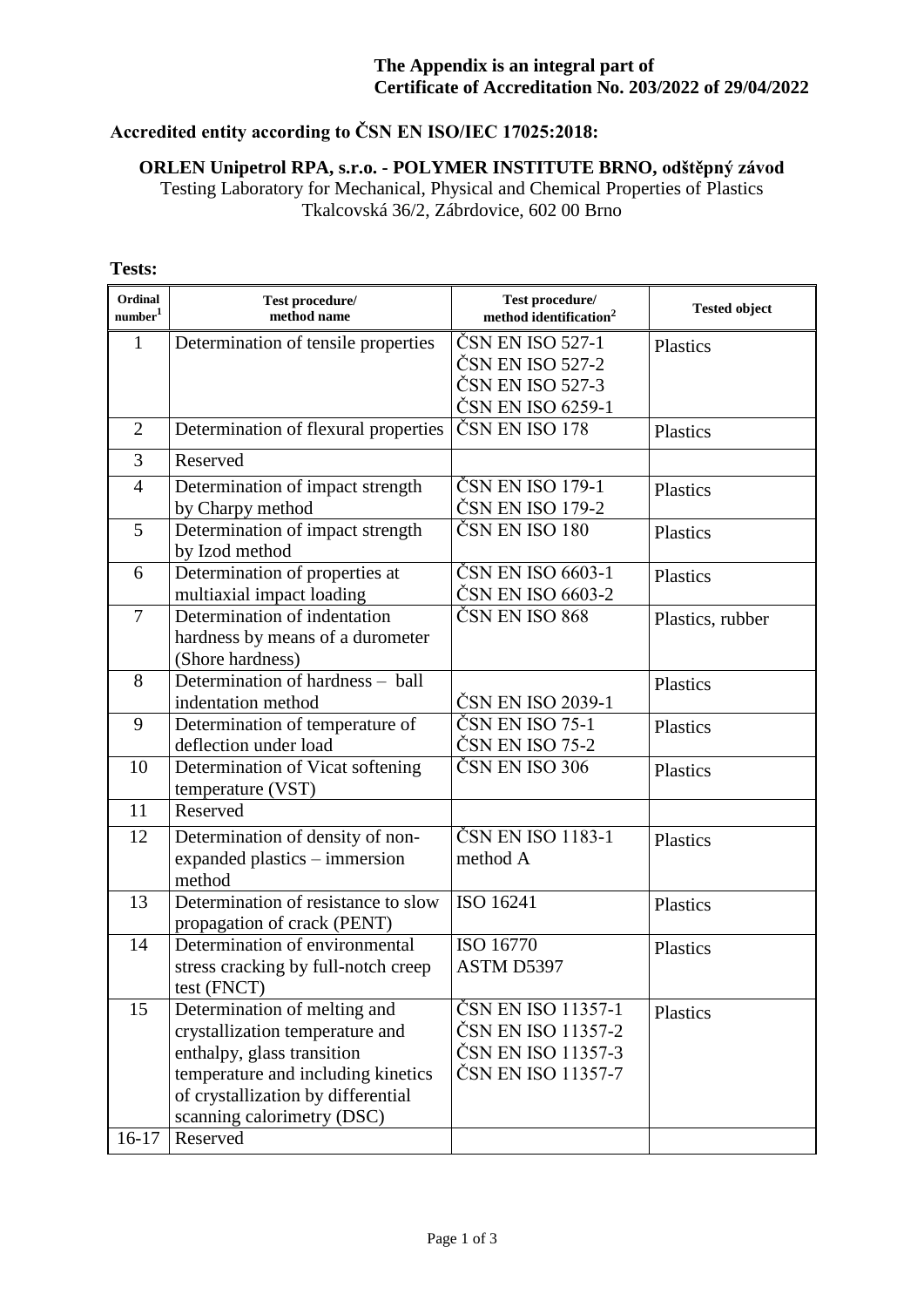### **Accredited entity according to ČSN EN ISO/IEC 17025:2018:**

# **ORLEN Unipetrol RPA, s.r.o. - POLYMER INSTITUTE BRNO, odštěpný závod**

Testing Laboratory for Mechanical, Physical and Chemical Properties of Plastics Tkalcovská 36/2, Zábrdovice, 602 00 Brno

#### **Ordinal number<sup>1</sup> Test procedure/ method name Test procedure/ method identification**<sup>2</sup> **Tested object** 1 Determination of tensile properties  $|\text{ČSN EN ISO }527-1$ ČSN EN ISO 527-2 ČSN EN ISO 527-3 ČSN EN ISO 6259-1 Plastics 2 Determination of flexural properties ČSN EN ISO 178 Plastics 3 Reserved 4 Determination of impact strength by Charpy method ČSN EN ISO 179-1 ČSN EN ISO 179-2 Plastics 5 Determination of impact strength by Izod method  $\check{C}$ SN EN ISO 180 | Plastics 6 Determination of properties at multiaxial impact loading ČSN EN ISO 6603-1 ČSN EN ISO 6603-2 Plastics 7 Determination of indentation hardness by means of a durometer (Shore hardness) ČSN EN ISO 868 Plastics, rubber 8 Determination of hardness – ball indentation method CSN EN ISO 2039-1 Plastics 9 Determination of temperature of deflection under load ČSN EN ISO 75-1 ČSN EN ISO 75-2 Plastics 10 **Determination of Vicat softening** temperature (VST)  $\check{C}$ SN EN ISO 306 Plastics 11 Reserved 12 Determination of density of nonexpanded plastics – immersion method ČSN EN ISO 1183-1 method A **Plastics** 13 Determination of resistance to slow propagation of crack (PENT) ISO 16241 Plastics 14 Determination of environmental stress cracking by full-notch creep test (FNCT) ISO 16770 ASTM D5397 Plastics 15 Determination of melting and crystallization temperature and enthalpy, glass transition temperature and including kinetics of crystallization by differential scanning calorimetry (DSC) ČSN EN ISO 11357-1 ČSN EN ISO 11357-2 ČSN EN ISO 11357-3 ČSN EN ISO 11357-7 Plastics

#### **Tests:**

16-17 Reserved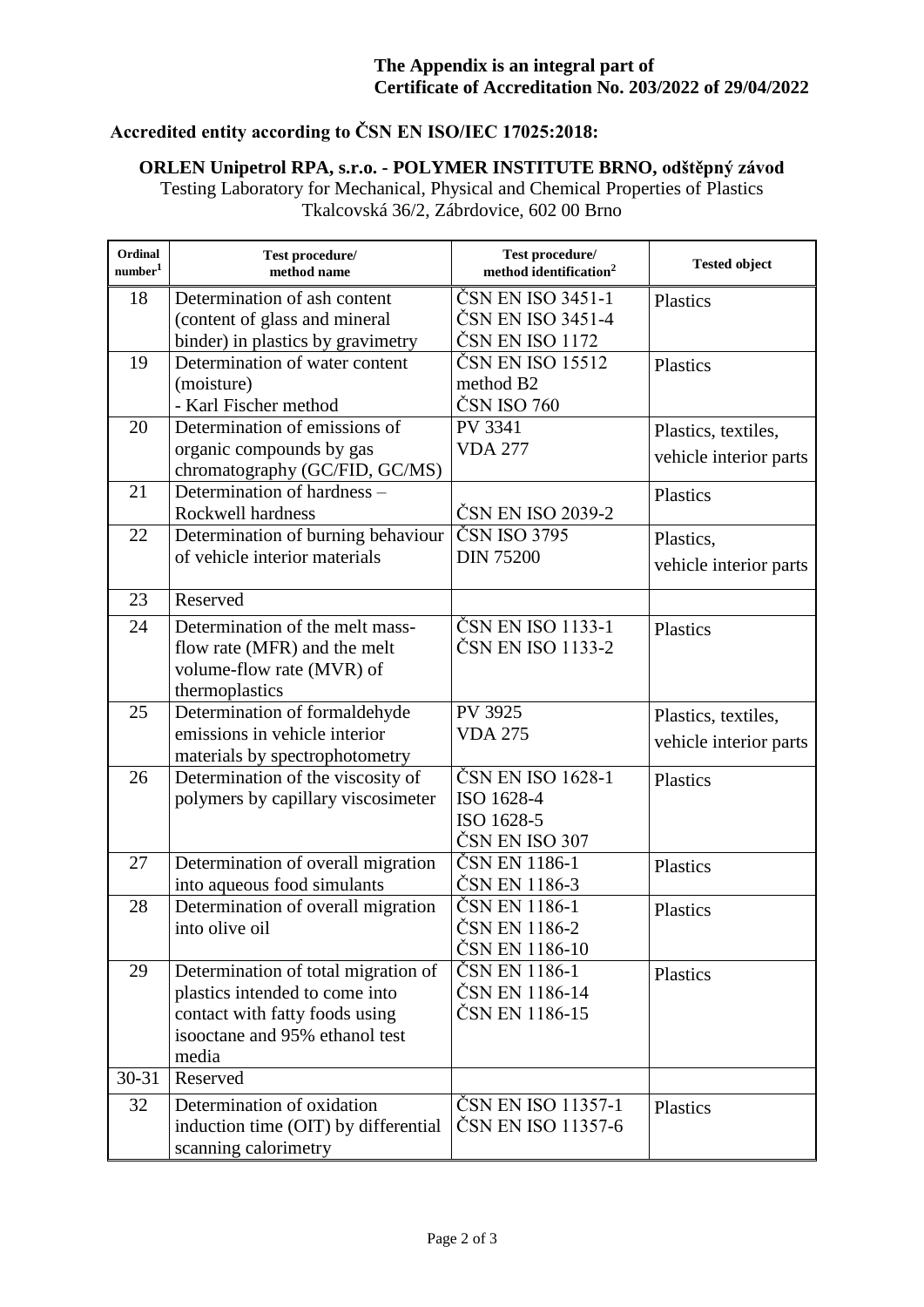# **Accredited entity according to ČSN EN ISO/IEC 17025:2018:**

# **ORLEN Unipetrol RPA, s.r.o. - POLYMER INSTITUTE BRNO, odštěpný závod**

Testing Laboratory for Mechanical, Physical and Chemical Properties of Plastics Tkalcovská 36/2, Zábrdovice, 602 00 Brno

| Ordinal<br>number <sup>1</sup> | Test procedure/<br>method name                                                                                                                      | Test procedure/<br>method identification <sup>2</sup>           | <b>Tested object</b>                          |
|--------------------------------|-----------------------------------------------------------------------------------------------------------------------------------------------------|-----------------------------------------------------------------|-----------------------------------------------|
| 18                             | Determination of ash content<br>(content of glass and mineral<br>binder) in plastics by gravimetry                                                  | ČSN EN ISO 3451-1<br>ČSN EN ISO 3451-4<br>ČSN EN ISO 1172       | Plastics                                      |
| 19                             | Determination of water content<br>(moisture)<br>- Karl Fischer method                                                                               | ČSN EN ISO 15512<br>method B <sub>2</sub><br>ČSN ISO 760        | Plastics                                      |
| 20                             | Determination of emissions of<br>organic compounds by gas<br>chromatography (GC/FID, GC/MS)                                                         | PV 3341<br><b>VDA 277</b>                                       | Plastics, textiles,<br>vehicle interior parts |
| 21                             | Determination of hardness -<br>Rockwell hardness                                                                                                    | ČSN EN ISO 2039-2                                               | Plastics                                      |
| 22                             | Determination of burning behaviour<br>of vehicle interior materials                                                                                 | ČSN ISO 3795<br><b>DIN 75200</b>                                | Plastics,<br>vehicle interior parts           |
| 23                             | Reserved                                                                                                                                            |                                                                 |                                               |
| 24                             | Determination of the melt mass-<br>flow rate (MFR) and the melt<br>volume-flow rate (MVR) of<br>thermoplastics                                      | ČSN EN ISO 1133-1<br>ČSN EN ISO 1133-2                          | Plastics                                      |
| 25                             | Determination of formaldehyde<br>emissions in vehicle interior<br>materials by spectrophotometry                                                    | PV 3925<br><b>VDA 275</b>                                       | Plastics, textiles,<br>vehicle interior parts |
| 26                             | Determination of the viscosity of<br>polymers by capillary viscosimeter                                                                             | ČSN EN ISO 1628-1<br>ISO 1628-4<br>ISO 1628-5<br>ČSN EN ISO 307 | Plastics                                      |
| 27                             | Determination of overall migration<br>into aqueous food simulants                                                                                   | ČSN EN 1186-1<br>ČSN EN 1186-3                                  | Plastics                                      |
| 28                             | Determination of overall migration<br>into olive oil                                                                                                | ČSN EN 1186-1<br>ČSN EN 1186-2<br>ČSN EN 1186-10                | Plastics                                      |
| 29                             | Determination of total migration of<br>plastics intended to come into<br>contact with fatty foods using<br>isoloctane and 95% ethanol test<br>media | ČSN EN 1186-1<br>ČSN EN 1186-14<br>ČSN EN 1186-15               | Plastics                                      |
| $30 - 31$                      | Reserved                                                                                                                                            |                                                                 |                                               |
| 32                             | Determination of oxidation<br>induction time (OIT) by differential<br>scanning calorimetry                                                          | ČSN EN ISO 11357-1<br>ČSN EN ISO 11357-6                        | <b>Plastics</b>                               |